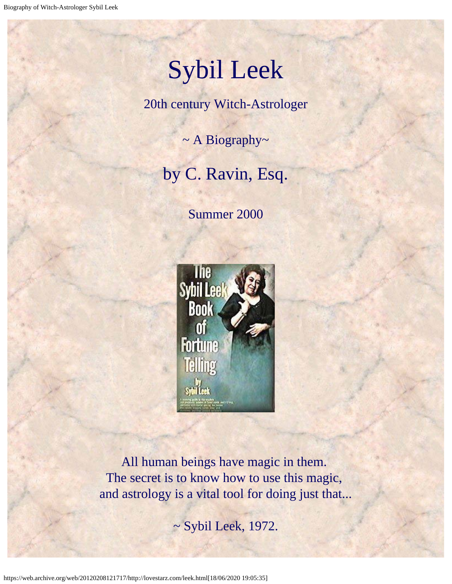## Sybil Leek

20th century Witch-Astrologer

 $~\sim$  A Biography $\sim$ 

by C. Ravin, Esq.

Summer 2000



All human beings have magic in them. The secret is to know how to use this magic, and astrology is a vital tool for doing just that...

~ Sybil Leek, 1972.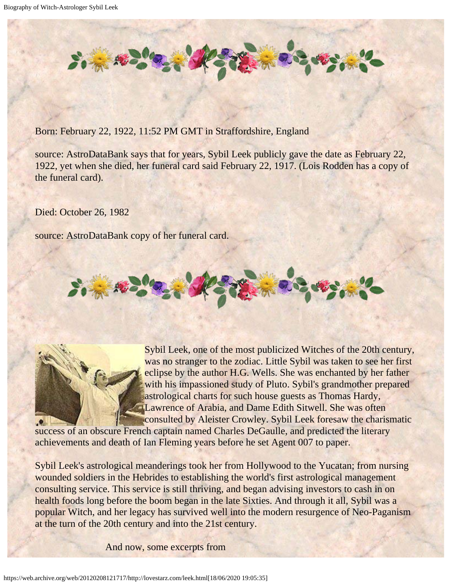

Born: February 22, 1922, 11:52 PM GMT in Straffordshire, England

source: AstroDataBank says that for years, Sybil Leek publicly gave the date as February 22, 1922, yet when she died, her funeral card said February 22, 1917. (Lois Rodden has a copy of the funeral card).

Died: October 26, 1982

source: AstroDataBank copy of her funeral card.



Sybil Leek, one of the most publicized Witches of the 20th century, was no stranger to the zodiac. Little Sybil was taken to see her first eclipse by the author H.G. Wells. She was enchanted by her father with his impassioned study of Pluto. Sybil's grandmother prepared astrological charts for such house guests as Thomas Hardy, **Lawrence of Arabia, and Dame Edith Sitwell. She was often** consulted by Aleister Crowley. Sybil Leek foresaw the charismatic

success of an obscure French captain named Charles DeGaulle, and predicted the literary achievements and death of Ian Fleming years before he set Agent 007 to paper.

Sybil Leek's astrological meanderings took her from Hollywood to the Yucatan; from nursing wounded soldiers in the Hebrides to establishing the world's first astrological management consulting service. This service is still thriving, and began advising investors to cash in on health foods long before the boom began in the late Sixties. And through it all, Sybil was a popular Witch, and her legacy has survived well into the modern resurgence of Neo-Paganism at the turn of the 20th century and into the 21st century.

And now, some excerpts from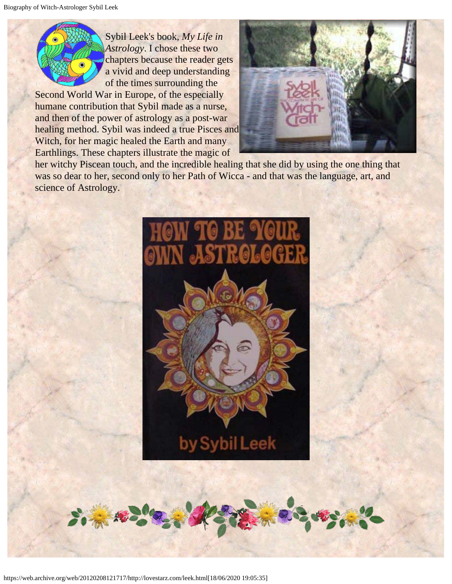

Sybil Leek's book, *My Life in Astrology*. I chose these two chapters because the reader gets a vivid and deep understanding of the times surrounding the

Second World War in Europe, of the especially humane contribution that Sybil made as a nurse, and then of the power of astrology as a post-war healing method. Sybil was indeed a true Pisces and Witch, for her magic healed the Earth and many Earthlings. These chapters illustrate the magic of



her witchy Piscean touch, and the incredible healing that she did by using the one thing that was so dear to her, second only to her Path of Wicca - and that was the language, art, and science of Astrology.

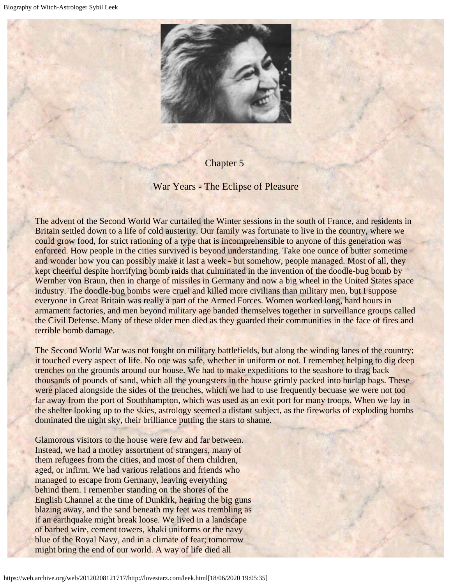

## Chapter 5

## War Years - The Eclipse of Pleasure

The advent of the Second World War curtailed the Winter sessions in the south of France, and residents in Britain settled down to a life of cold austerity. Our family was fortunate to live in the country, where we could grow food, for strict rationing of a type that is incomprehensible to anyone of this generation was enforced. How people in the cities survived is beyond understanding. Take one ounce of butter sometime and wonder how you can possibly make it last a week - but somehow, people managed. Most of all, they kept cheerful despite horrifying bomb raids that culminated in the invention of the doodle-bug bomb by Wernher von Braun, then in charge of missiles in Germany and now a big wheel in the United States space industry. The doodle-bug bombs were cruel and killed more civilians than military men, but I suppose everyone in Great Britain was really a part of the Armed Forces. Women worked long, hard hours in armament factories, and men beyond military age banded themselves together in surveillance groups called the Civil Defense. Many of these older men died as they guarded their communities in the face of fires and terrible bomb damage.

The Second World War was not fought on military battlefields, but along the winding lanes of the country; it touched every aspect of life. No one was safe, whether in uniform or not. I remember helping to dig deep trenches on the grounds around our house. We had to make expeditions to the seashore to drag back thousands of pounds of sand, which all the youngsters in the house grimly packed into burlap bags. These were placed alongside the sides of the trenches, which we had to use frequently becuase we were not too far away from the port of Southhampton, which was used as an exit port for many troops. When we lay in the shelter looking up to the skies, astrology seemed a distant subject, as the fireworks of exploding bombs dominated the night sky, their brilliance putting the stars to shame.

Glamorous visitors to the house were few and far between. Instead, we had a motley assortment of strangers, many of them refugees from the cities, and most of them children, aged, or infirm. We had various relations and friends who managed to escape from Germany, leaving everything behind them. I remember standing on the shores of the English Channel at the time of Dunkirk, hearing the big guns blazing away, and the sand beneath my feet was trembling as if an earthquake might break loose. We lived in a landscape of barbed wire, cement towers, khaki uniforms or the navy blue of the Royal Navy, and in a climate of fear; tomorrow might bring the end of our world. A way of life died all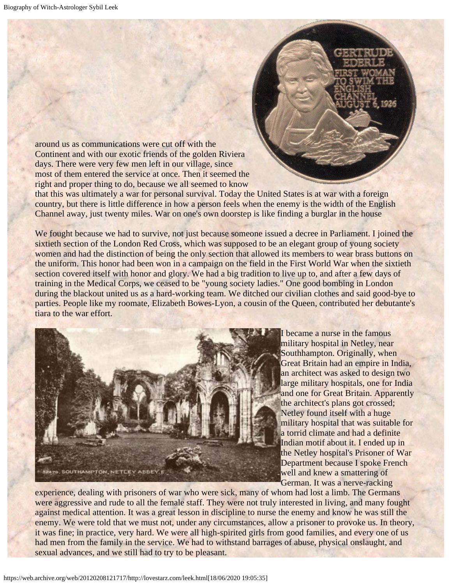

around us as communications were cut off with the Continent and with our exotic friends of the golden Riviera days. There were very few men left in our village, since most of them entered the service at once. Then it seemed the right and proper thing to do, because we all seemed to know

that this was ultimately a war for personal survival. Today the United States is at war with a foreign country, but there is little difference in how a person feels when the enemy is the width of the English Channel away, just twenty miles. War on one's own doorstep is like finding a burglar in the house

We fought because we had to survive, not just because someone issued a decree in Parliament. I joined the sixtieth section of the London Red Cross, which was supposed to be an elegant group of young society women and had the distinction of being the only section that allowed its members to wear brass buttons on the uniform. This honor had been won in a campaign on the field in the First World War when the sixtieth section covered itself with honor and glory. We had a big tradition to live up to, and after a few days of training in the Medical Corps, we ceased to be "young society ladies." One good bombing in London during the blackout united us as a hard-working team. We ditched our civilian clothes and said good-bye to parties. People like my roomate, Elizabeth Bowes-Lyon, a cousin of the Queen, contributed her debutante's tiara to the war effort.



I became a nurse in the famous military hospital in Netley, near Southhampton. Originally, when Great Britain had an empire in India, an architect was asked to design two large military hospitals, one for India and one for Great Britain. Apparently the architect's plans got crossed; Netley found itself with a huge military hospital that was suitable for a torrid climate and had a definite Indian motif about it. I ended up in the Netley hospital's Prisoner of War Department because I spoke French well and knew a smattering of German. It was a nerve-racking

experience, dealing with prisoners of war who were sick, many of whom had lost a limb. The Germans were aggressive and rude to all the female staff. They were not truly interested in living, and many fought against medical attention. It was a great lesson in discipline to nurse the enemy and know he was still the enemy. We were told that we must not, under any circumstances, allow a prisoner to provoke us. In theory, it was fine; in practice, very hard. We were all high-spirited girls from good families, and every one of us had men from the family in the service. We had to withstand barrages of abuse, physical onslaught, and sexual advances, and we still had to try to be pleasant.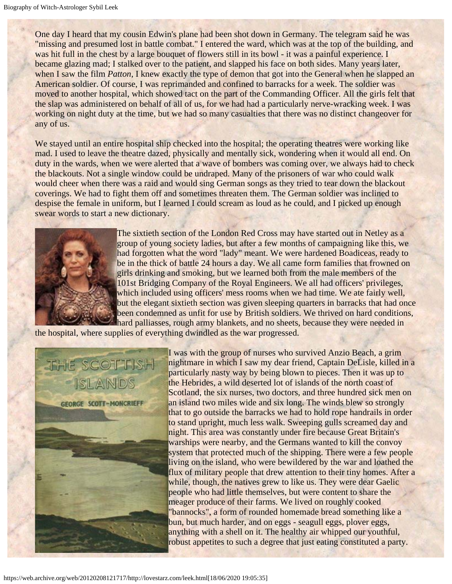One day I heard that my cousin Edwin's plane had been shot down in Germany. The telegram said he was "missing and presumed lost in battle combat." I entered the ward, which was at the top of the building, and was hit full in the chest by a large bouquet of flowers still in its bowl - it was a painful experience. I became glazing mad; I stalked over to the patient, and slapped his face on both sides. Many years later, when I saw the film *Patton*, I knew exactly the type of demon that got into the General when he slapped an American soldier. Of course, I was reprimanded and confined to barracks for a week. The soldier was moved to another hospital, which showed tact on the part of the Commanding Officer. All the girls felt that the slap was administered on behalf of all of us, for we had had a particularly nerve-wracking week. I was working on night duty at the time, but we had so many casualties that there was no distinct changeover for any of us.

We stayed until an entire hospital ship checked into the hospital; the operating theatres were working like mad. I used to leave the theatre dazed, physically and mentally sick, wondering when it would all end. On duty in the wards, when we were alerted that a wave of bombers was coming over, we always had to check the blackouts. Not a single window could be undraped. Many of the prisoners of war who could walk would cheer when there was a raid and would sing German songs as they tried to tear down the blackout coverings. We had to fight them off and sometimes threaten them. The German soldier was inclined to despise the female in uniform, but I learned I could scream as loud as he could, and I picked up enough swear words to start a new dictionary.



The sixtieth section of the London Red Cross may have started out in Netley as a group of young society ladies, but after a few months of campaigning like this, we had forgotten what the word "lady" meant. We were hardened Boadiceas, ready to be in the thick of battle 24 hours a day. We all came form families that frowned on girls drinking and smoking, but we learned both from the male members of the 101st Bridging Company of the Royal Engineers. We all had officers' privileges, which included using officers' mess rooms when we had time. We ate fairly well, but the elegant sixtieth section was given sleeping quarters in barracks that had once been condemned as unfit for use by British soldiers. We thrived on hard conditions, hard palliasses, rough army blankets, and no sheets, because they were needed in

the hospital, where supplies of everything dwindled as the war progressed.



I was with the group of nurses who survived Anzio Beach, a grim nightmare in which I saw my dear friend, Captain DeLisle, killed in a particularly nasty way by being blown to pieces. Then it was up to the Hebrides, a wild deserted lot of islands of the north coast of Scotland, the six nurses, two doctors, and three hundred sick men on an island two miles wide and six long. The winds blew so strongly that to go outside the barracks we had to hold rope handrails in order to stand upright, much less walk. Sweeping gulls screamed day and night. This area was constantly under fire because Great Britain's warships were nearby, and the Germans wanted to kill the convoy system that protected much of the shipping. There were a few people living on the island, who were bewildered by the war and loathed the flux of military people that drew attention to their tiny homes. After a while, though, the natives grew to like us. They were dear Gaelic people who had little themselves, but were content to share the meager produce of their farms. We lived on roughly cooked "bannocks", a form of rounded homemade bread something like a bun, but much harder, and on eggs - seagull eggs, plover eggs, anything with a shell on it. The healthy air whipped our youthful, robust appetites to such a degree that just eating constituted a party.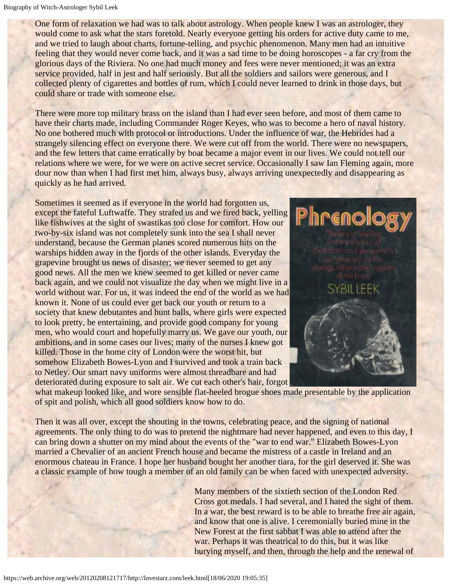One form of relaxation we had was to talk about astrology. When people knew I was an astrologer, they would come to ask what the stars foretold. Nearly everyone getting his orders for active duty came to me, and we tried to laugh about charts, fortune-telling, and psychic phenomenon. Many men had an intuitive feeling that they would never come back, and it was a sad time to be doing horoscopes - a far cry from the glorious days of the Riviera. No one had much money and fees were never mentioned; it was an extra service provided, half in jest and half seriously. But all the soldiers and sailors were generous, and I collected plenty of cigarettes and bottles of rum, which I could never learned to drink in those days, but could share or trade with someone else.

There were more top military brass on the island than I had ever seen before, and most of them came to have their charts made, including Commander Roger Keyes, who was to become a hero of naval history. No one bothered much with protocol or introductions. Under the influence of war, the Hebrides had a strangely silencing effect on everyone there. We were cut off from the world. There were no newspapers, and the few letters that came erratically by boat became a major event in our lives. We could not tell our relations where we were, for we were on active secret service. Occasionally I saw Ian Fleming again, more dour now than when I had first met him, always busy, always arriving unexpectedly and disappearing as quickly as he had arrived.

Sometimes it seemed as if everyone in the world had forgotten us, except the fateful Luftwaffe. They strafed us and we fired back, yelling like fishwives at the sight of swastikas too close for comfort. How our two-by-six island was not completely sunk into the sea I shall never understand, because the German planes scored numerous hits on the warships hidden away in the fjords of the other islands. Everyday the grapevine brought us news of disaster; we never seemed to get any good news. All the men we knew seemed to get killed or never came back again, and we could not visualize the day when we might live in a world without war. For us, it was indeed the end of the world as we had known it. None of us could ever get back our youth or return to a society that knew debutantes and hunt balls, where girls were expected to look pretty, be entertaining, and provide good company for young men, who would court and hopefully marry us. We gave our youth, our ambitions, and in some cases our lives; many of the nurses I knew got killed. Those in the home city of London were the worst hit, but somehow Elizabeth Bowes-Lyon and I survived and took a train back to Netley. Our smart navy uniforms were almost threadbare and had deteriorated during exposure to salt air. We cut each other's hair, forgot



what makeup looked like, and wore sensible flat-heeled brogue shoes made presentable by the application of spit and polish, which all good soldiers know how to do.

Then it was all over, except the shouting in the towns, celebrating peace, and the signing of national agreements. The only thing to do was to pretend the nightmare had never happened, and even to this day, I can bring down a shutter on my mind about the events of the "war to end war." Elizabeth Bowes-Lyon married a Chevalier of an ancient French house and became the mistress of a castle in Ireland and an enormous chateau in France. I hope her husband bought her another tiara, for the girl deserved it. She was a classic example of how tough a member of an old family can be when faced with unexpected adversity.

> Many members of the sixtieth section of the London Red Cross got medals. I had several, and I hated the sight of them. In a war, the best reward is to be able to breathe free air again, and know that one is alive. I ceremonially buried mine in the New Forest at the first sabbat I was able to attend after the war. Perhaps it was theatrical to do this, but it was like burying myself, and then, through the help and the renewal of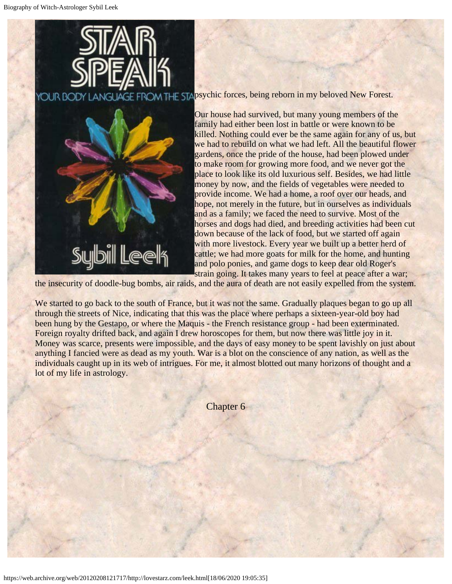

DM THE STA psychic forces, being reborn in my beloved New Forest.

Our house had survived, but many young members of the family had either been lost in battle or were known to be killed. Nothing could ever be the same again for any of us, but we had to rebuild on what we had left. All the beautiful flower gardens, once the pride of the house, had been plowed under to make room for growing more food, and we never got the place to look like its old luxurious self. Besides, we had little money by now, and the fields of vegetables were needed to provide income. We had a home, a roof over our heads, and hope, not merely in the future, but in ourselves as individuals and as a family; we faced the need to survive. Most of the horses and dogs had died, and breeding activities had been cut down because of the lack of food, but we started off again with more livestock. Every year we built up a better herd of cattle; we had more goats for milk for the home, and hunting and polo ponies, and game dogs to keep dear old Roger's strain going. It takes many years to feel at peace after a war;

the insecurity of doodle-bug bombs, air raids, and the aura of death are not easily expelled from the system.

We started to go back to the south of France, but it was not the same. Gradually plaques began to go up all through the streets of Nice, indicating that this was the place where perhaps a sixteen-year-old boy had been hung by the Gestapo, or where the Maquis - the French resistance group - had been exterminated. Foreign royalty drifted back, and again I drew horoscopes for them, but now there was little joy in it. Money was scarce, presents were impossible, and the days of easy money to be spent lavishly on just about anything I fancied were as dead as my youth. War is a blot on the conscience of any nation, as well as the individuals caught up in its web of intrigues. For me, it almost blotted out many horizons of thought and a lot of my life in astrology.

Chapter 6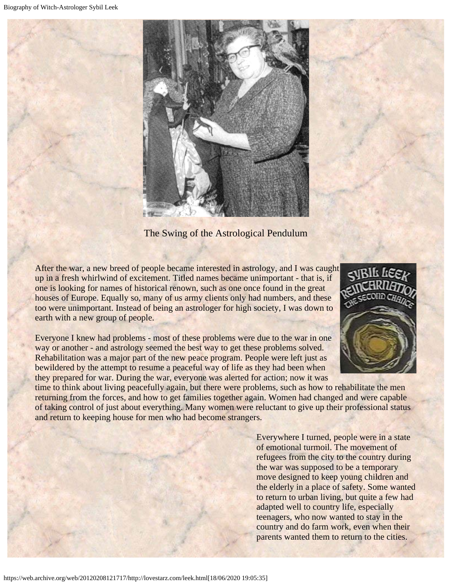

The Swing of the Astrological Pendulum

After the war, a new breed of people became interested in astrology, and I was caught up in a fresh whirlwind of excitement. Titled names became unimportant - that is, if one is looking for names of historical renown, such as one once found in the great houses of Europe. Equally so, many of us army clients only had numbers, and these too were unimportant. Instead of being an astrologer for high society, I was down to earth with a new group of people.

Everyone I knew had problems - most of these problems were due to the war in one way or another - and astrology seemed the best way to get these problems solved. Rehabilitation was a major part of the new peace program. People were left just as bewildered by the attempt to resume a peaceful way of life as they had been when they prepared for war. During the war, everyone was alerted for action; now it was



time to think about living peacefully again, but there were problems, such as how to rehabilitate the men returning from the forces, and how to get families together again. Women had changed and were capable of taking control of just about everything. Many women were reluctant to give up their professional status and return to keeping house for men who had become strangers.

> Everywhere I turned, people were in a state of emotional turmoil. The movement of refugees from the city to the country during the war was supposed to be a temporary move designed to keep young children and the elderly in a place of safety. Some wanted to return to urban living, but quite a few had adapted well to country life, especially teenagers, who now wanted to stay in the country and do farm work, even when their parents wanted them to return to the cities.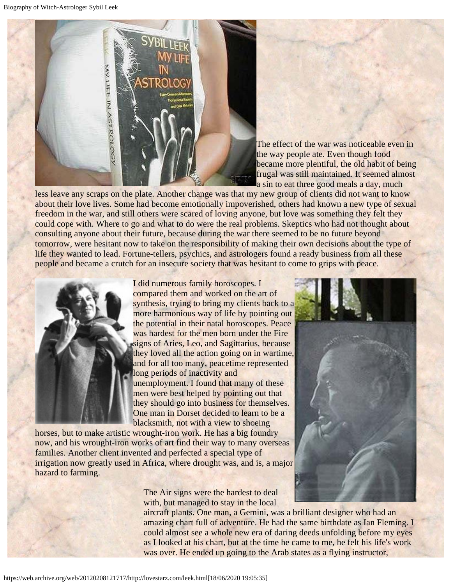

The effect of the war was noticeable even in the way people ate. Even though food became more plentiful, the old habit of being frugal was still maintained. It seemed almost a sin to eat three good meals a day, much

less leave any scraps on the plate. Another change was that my new group of clients did not want to know about their love lives. Some had become emotionally impoverished, others had known a new type of sexual freedom in the war, and still others were scared of loving anyone, but love was something they felt they could cope with. Where to go and what to do were the real problems. Skeptics who had not thought about consulting anyone about their future, because during the war there seemed to be no future beyond tomorrow, were hesitant now to take on the responsibility of making their own decisions about the type of life they wanted to lead. Fortune-tellers, psychics, and astrologers found a ready business from all these people and became a crutch for an insecure society that was hesitant to come to grips with peace.



I did numerous family horoscopes. I compared them and worked on the art of synthesis, trying to bring my clients back to a more harmonious way of life by pointing out the potential in their natal horoscopes. Peace was hardest for the men born under the Fire signs of Aries, Leo, and Sagittarius, because they loved all the action going on in wartime, and for all too many, peacetime represented long periods of inactivity and unemployment. I found that many of these men were best helped by pointing out that they should go into business for themselves. One man in Dorset decided to learn to be a blacksmith, not with a view to shoeing

horses, but to make artistic wrought-iron work. He has a big foundry now, and his wrought-iron works of art find their way to many overseas families. Another client invented and perfected a special type of irrigation now greatly used in Africa, where drought was, and is, a major hazard to farming.

> The Air signs were the hardest to deal with, but managed to stay in the local



aircraft plants. One man, a Gemini, was a brilliant designer who had an amazing chart full of adventure. He had the same birthdate as Ian Fleming. I could almost see a whole new era of daring deeds unfolding before my eyes as I looked at his chart, but at the time he came to me, he felt his life's work was over. He ended up going to the Arab states as a flying instructor,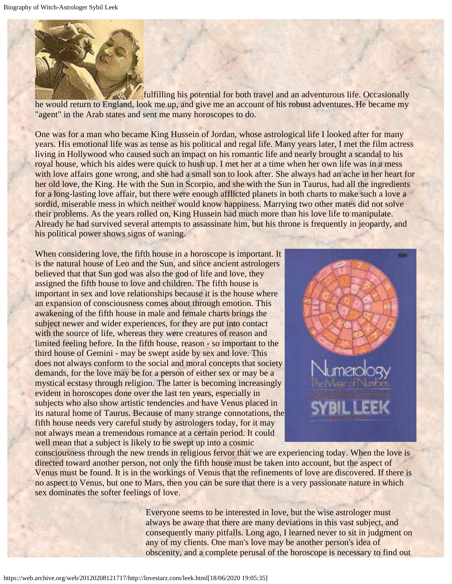

fulfilling his potential for both travel and an adventurous life. Occasionally he would return to England, look me up, and give me an account of his robust adventures. He became my "agent" in the Arab states and sent me many horoscopes to do.

One was for a man who became King Hussein of Jordan, whose astrological life I looked after for many years. His emotional life was as tense as his political and regal life. Many years later, I met the film actress living in Hollywood who caused such an impact on his romantic life and nearly brought a scandal to his royal house, which his aides were quick to hush up. I met her at a time when her own life was in a mess with love affairs gone wrong, and she had a small son to look after. She always had an ache in her heart for her old love, the King. He with the Sun in Scorpio, and she with the Sun in Taurus, had all the ingredients for a long-lasting love affair, but there were enough afflicted planets in both charts to make such a love a sordid, miserable mess in which neither would know happiness. Marrying two other mates did not solve their problems. As the years rolled on, King Hussein had much more than his love life to manipulate. Already he had survived several attempts to assassinate him, but his throne is frequently in jeopardy, and his political power shows signs of waning.

When considering love, the fifth house in a horoscope is important. It is the natural house of Leo and the Sun, and since ancient astrologers believed that that Sun god was also the god of life and love, they assigned the fifth house to love and children. The fifth house is important in sex and love relationships because it is the house where an expansion of consciousness comes about through emotion. This awakening of the fifth house in male and female charts brings the subject newer and wider experiences, for they are put into contact with the source of life, whereas they were creatures of reason and limited feeling before. In the fifth house, reason - so important to the third house of Gemini - may be swept aside by sex and love. This does not always conform to the social and moral concepts that society demands, for the love may be for a person of either sex or may be a mystical ecstasy through religion. The latter is becoming increasingly evident in horoscopes done over the last ten years, especially in subjects who also show artistic tendencies and have Venus placed in its natural home of Taurus. Because of many strange connotations, the fifth house needs very careful study by astrologers today, for it may not always mean a tremendous romance at a certain period. It could well mean that a subject is likely to be swept up into a cosmic



consciousness through the new trends in religious fervor that we are experiencing today. When the love is directed toward another person, not only the fifth house must be taken into account, but the aspect of Venus must be found. It is in the workings of Venus that the refinements of love are discovered. If there is no aspect to Venus, but one to Mars, then you can be sure that there is a very passionate nature in which sex dominates the softer feelings of love.

> Everyone seems to be interested in love, but the wise astrologer must always be aware that there are many deviations in this vast subject, and consequently many pitfalls. Long ago, I learned never to sit in judgment on any of my clients. One man's love may be another person's idea of obscenity, and a complete perusal of the horoscope is necessary to find out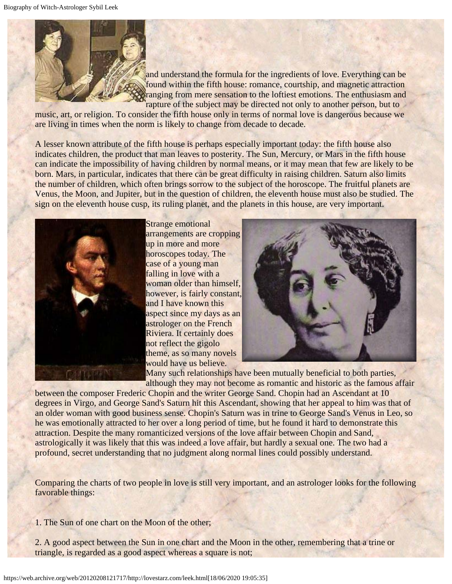

and understand the formula for the ingredients of love. Everything can be found within the fifth house: romance, courtship, and magnetic attraction ranging from mere sensation to the loftiest emotions. The enthusiasm and rapture of the subject may be directed not only to another person, but to

music, art, or religion. To consider the fifth house only in terms of normal love is dangerous because we are living in times when the norm is likely to change from decade to decade.

A lesser known attribute of the fifth house is perhaps especially important today: the fifth house also indicates children, the product that man leaves to posterity. The Sun, Mercury, or Mars in the fifth house can indicate the impossibility of having children by normal means, or it may mean that few are likely to be born. Mars, in particular, indicates that there can be great difficulty in raising children. Saturn also limits the number of children, which often brings sorrow to the subject of the horoscope. The fruitful planets are Venus, the Moon, and Jupiter, but in the question of children, the eleventh house must also be studied. The sign on the eleventh house cusp, its ruling planet, and the planets in this house, are very important.



Strange emotional arrangements are cropping up in more and more horoscopes today. The case of a young man falling in love with a woman older than himself, however, is fairly constant, and I have known this aspect since my days as an astrologer on the French Riviera. It certainly does not reflect the gigolo theme, as so many novels would have us believe.



Many such relationships have been mutually beneficial to both parties, although they may not become as romantic and historic as the famous affair

between the composer Frederic Chopin and the writer George Sand. Chopin had an Ascendant at 10 degrees in Virgo, and George Sand's Saturn hit this Ascendant, showing that her appeal to him was that of an older woman with good business sense. Chopin's Saturn was in trine to George Sand's Venus in Leo, so he was emotionally attracted to her over a long period of time, but he found it hard to demonstrate this attraction. Despite the many romanticized versions of the love affair between Chopin and Sand, astrologically it was likely that this was indeed a love affair, but hardly a sexual one. The two had a profound, secret understanding that no judgment along normal lines could possibly understand.

Comparing the charts of two people in love is still very important, and an astrologer looks for the following favorable things:

1. The Sun of one chart on the Moon of the other;

2. A good aspect between the Sun in one chart and the Moon in the other, remembering that a trine or triangle, is regarded as a good aspect whereas a square is not;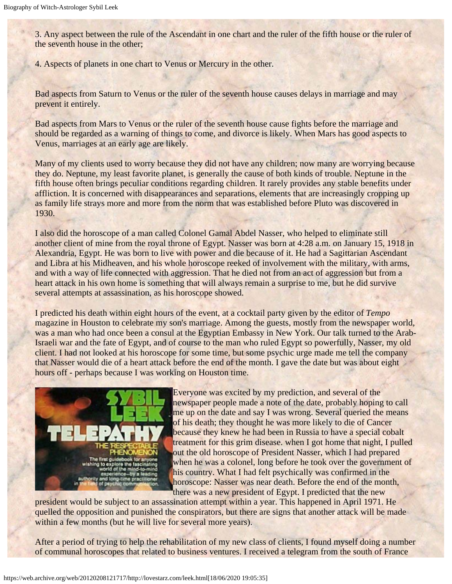3. Any aspect between the rule of the Ascendant in one chart and the ruler of the fifth house or the ruler of the seventh house in the other;

4. Aspects of planets in one chart to Venus or Mercury in the other.

Bad aspects from Saturn to Venus or the ruler of the seventh house causes delays in marriage and may prevent it entirely.

Bad aspects from Mars to Venus or the ruler of the seventh house cause fights before the marriage and should be regarded as a warning of things to come, and divorce is likely. When Mars has good aspects to Venus, marriages at an early age are likely.

Many of my clients used to worry because they did not have any children; now many are worrying because they do. Neptune, my least favorite planet, is generally the cause of both kinds of trouble. Neptune in the fifth house often brings peculiar conditions regarding children. It rarely provides any stable benefits under affliction. It is concerned with disappearances and separations, elements that are increasingly cropping up as family life strays more and more from the norm that was established before Pluto was discovered in 1930.

I also did the horoscope of a man called Colonel Gamal Abdel Nasser, who helped to eliminate still another client of mine from the royal throne of Egypt. Nasser was born at 4:28 a.m. on January 15, 1918 in Alexandria, Egypt. He was born to live with power and die because of it. He had a Sagittarian Ascendant and Libra at his Midheaven, and his whole horoscope reeked of involvement with the military, with arms, and with a way of life connected with aggression. That he died not from an act of aggression but from a heart attack in his own home is something that will always remain a surprise to me, but he did survive several attempts at assassination, as his horoscope showed.

I predicted his death within eight hours of the event, at a cocktail party given by the editor of *Tempo* magazine in Houston to celebrate my son's marriage. Among the guests, mostly from the newspaper world, was a man who had once been a consul at the Egyptian Embassy in New York. Our talk turned to the Arab-Israeli war and the fate of Egypt, and of course to the man who ruled Egypt so powerfully, Nasser, my old client. I had not looked at his horoscope for some time, but some psychic urge made me tell the company that Nasser would die of a heart attack before the end of the month. I gave the date but was about eight hours off - perhaps because I was working on Houston time.



Everyone was excited by my prediction, and several of the newspaper people made a note of the date, probably hoping to call me up on the date and say I was wrong. Several queried the means of his death; they thought he was more likely to die of Cancer because they knew he had been in Russia to have a special cobalt treatment for this grim disease. when I got home that night, I pulled out the old horoscope of President Nasser, which I had prepared when he was a colonel, long before he took over the government of his country. What I had felt psychically was confirmed in the horoscope: Nasser was near death. Before the end of the month, there was a new president of Egypt. I predicted that the new

president would be subject to an assassination attempt within a year. This happened in April 1971. He quelled the opposition and punished the conspirators, but there are signs that another attack will be made within a few months (but he will live for several more years).

After a period of trying to help the rehabilitation of my new class of clients, I found myself doing a number of communal horoscopes that related to business ventures. I received a telegram from the south of France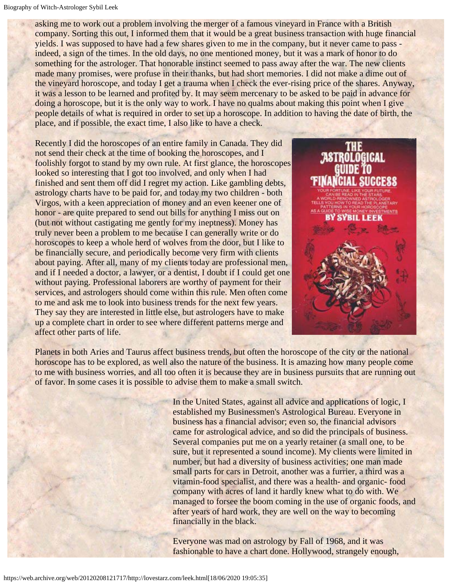asking me to work out a problem involving the merger of a famous vineyard in France with a British company. Sorting this out, I informed them that it would be a great business transaction with huge financial yields. I was supposed to have had a few shares given to me in the company, but it never came to pass indeed, a sign of the times. In the old days, no one mentioned money, but it was a mark of honor to do something for the astrologer. That honorable instinct seemed to pass away after the war. The new clients made many promises, were profuse in their thanks, but had short memories. I did not make a dime out of the vineyard horoscope, and today I get a trauma when I check the ever-rising price of the shares. Anyway, it was a lesson to be learned and profited by. It may seem mercenary to be asked to be paid in advance for doing a horoscope, but it is the only way to work. I have no qualms about making this point when I give people details of what is required in order to set up a horoscope. In addition to having the date of birth, the place, and if possible, the exact time, I also like to have a check.

Recently I did the horoscopes of an entire family in Canada. They did not send their check at the time of booking the horoscopes, and I foolishly forgot to stand by my own rule. At first glance, the horoscopes looked so interesting that I got too involved, and only when I had finished and sent them off did I regret my action. Like gambling debts, astrology charts have to be paid for, and today my two children - both Virgos, with a keen appreciation of money and an even keener one of honor - are quite prepared to send out bills for anything I miss out on (but not without castigating me gently for my ineptness). Money has truly never been a problem to me because I can generally write or do horoscopes to keep a whole herd of wolves from the door, but I like to be financially secure, and periodically become very firm with clients about paying. After all, many of my clients today are professional men, and if I needed a doctor, a lawyer, or a dentist, I doubt if I could get one without paying. Professional laborers are worthy of payment for their services, and astrologers should come within this rule. Men often come to me and ask me to look into business trends for the next few years. They say they are interested in little else, but astrologers have to make up a complete chart in order to see where different patterns merge and affect other parts of life.



Planets in both Aries and Taurus affect business trends, but often the horoscope of the city or the national horoscope has to be explored, as well also the nature of the business. It is amazing how many people come to me with business worries, and all too often it is because they are in business pursuits that are running out of favor. In some cases it is possible to advise them to make a small switch.

> In the United States, against all advice and applications of logic, I established my Businessmen's Astrological Bureau. Everyone in business has a financial advisor; even so, the financial advisors came for astrological advice, and so did the principals of business. Several companies put me on a yearly retainer (a small one, to be sure, but it represented a sound income). My clients were limited in number, but had a diversity of business activities; one man made small parts for cars in Detroit, another was a furrier, a third was a vitamin-food specialist, and there was a health- and organic- food company with acres of land it hardly knew what to do with. We managed to forsee the boom coming in the use of organic foods, and after years of hard work, they are well on the way to becoming financially in the black.

Everyone was mad on astrology by Fall of 1968, and it was fashionable to have a chart done. Hollywood, strangely enough,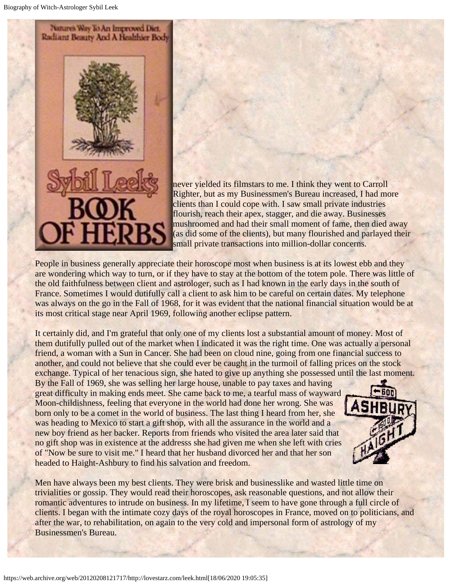

People in business generally appreciate their horoscope most when business is at its lowest ebb and they are wondering which way to turn, or if they have to stay at the bottom of the totem pole. There was little of the old faithfulness between client and astrologer, such as I had known in the early days in the south of France. Sometimes I would dutifully call a client to ask him to be careful on certain dates. My telephone was always on the go in the Fall of 1968, for it was evident that the national financial situation would be at its most critical stage near April 1969, following another eclipse pattern.

It certainly did, and I'm grateful that only one of my clients lost a substantial amount of money. Most of them dutifully pulled out of the market when I indicated it was the right time. One was actually a personal friend, a woman with a Sun in Cancer. She had been on cloud nine, going from one financial success to another, and could not believe that she could ever be caught in the turmoil of falling prices on the stock exchange. Typical of her tenacious sign, she hated to give up anything she possessed until the last moment.

By the Fall of 1969, she was selling her large house, unable to pay taxes and having great difficulty in making ends meet. She came back to me, a tearful mass of wayward Moon-childishness, feeling that everyone in the world had done her wrong. She was born only to be a comet in the world of business. The last thing I heard from her, she was heading to Mexico to start a gift shop, with all the assurance in the world and a new boy friend as her backer. Reports from friends who visited the area later said that no gift shop was in existence at the addresss she had given me when she left with cries of "Now be sure to visit me." I heard that her husband divorced her and that her son headed to Haight-Ashbury to find his salvation and freedom.



Men have always been my best clients. They were brisk and businesslike and wasted little time on trivialities or gossip. They would read their horoscopes, ask reasonable questions, and not allow their romantic adventures to intrude on business. In my lifetime, I seem to have gone through a full circle of clients. I began with the intimate cozy days of the royal horoscopes in France, moved on to politicians, and after the war, to rehabilitation, on again to the very cold and impersonal form of astrology of my Businessmen's Bureau.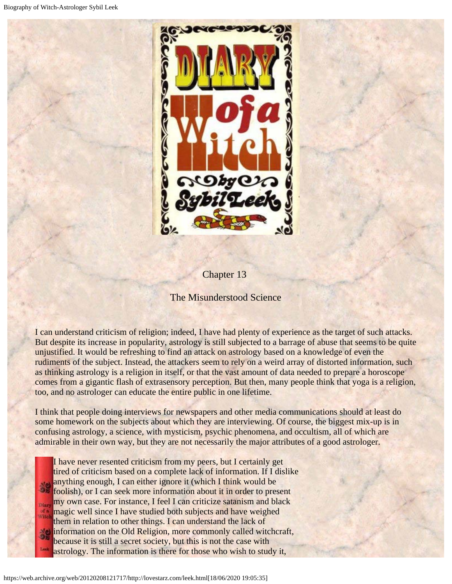

Chapter 13



I can understand criticism of religion; indeed, I have had plenty of experience as the target of such attacks. But despite its increase in popularity, astrology is still subjected to a barrage of abuse that seems to be quite unjustified. It would be refreshing to find an attack on astrology based on a knowledge of even the rudiments of the subject. Instead, the attackers seem to rely on a weird array of distorted information, such as thinking astrology is a religion in itself, or that the vast amount of data needed to prepare a horoscope comes from a gigantic flash of extrasensory perception. But then, many people think that yoga is a religion, too, and no astrologer can educate the entire public in one lifetime.

I think that people doing interviews for newspapers and other media communications should at least do some homework on the subjects about which they are interviewing. Of course, the biggest mix-up is in confusing astrology, a science, with mysticism, psychic phenomena, and occultism, all of which are admirable in their own way, but they are not necessarily the major attributes of a good astrologer.

I have never resented criticism from my peers, but I certainly get tired of criticism based on a complete lack of information. If I dislike anything enough, I can either ignore it (which I think would be foolish), or I can seek more information about it in order to present my own case. For instance, I feel I can criticize satanism and black magic well since I have studied both subjects and have weighed them in relation to other things. I can understand the lack of information on the Old Religion, more commonly called witchcraft, because it is still a secret society, but this is not the case with astrology. The information is there for those who wish to study it,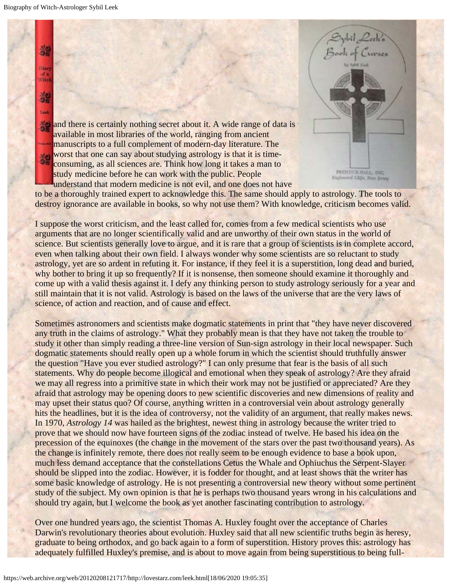Diar Vire

> and there is certainly nothing secret about it. A wide range of data is available in most libraries of the world, ranging from ancient manuscripts to a full complement of modern-day literature. The worst that one can say about studying astrology is that it is timeconsuming, as all sciences are. Think how long it takes a man to study medicine before he can work with the public. People understand that modern medicine is not evil, and one does not have



to be a thoroughly trained expert to acknowledge this. The same should apply to astrology. The tools to destroy ignorance are available in books, so why not use them? With knowledge, criticism becomes valid.

I suppose the worst criticism, and the least called for, comes from a few medical scientists who use arguments that are no longer scientifically valid and are unworthy of their own status in the world of science. But scientists generally love to argue, and it is rare that a group of scientists is in complete accord, even when talking about their own field. I always wonder why some scientists are so reluctant to study astrology, yet are so ardent in refuting it. For instance, if they feel it is a superstition, long dead and buried, why bother to bring it up so frequently? If it is nonsense, then someone should examine it thoroughly and come up with a valid thesis against it. I defy any thinking person to study astrology seriously for a year and still maintain that it is not valid. Astrology is based on the laws of the universe that are the very laws of science, of action and reaction, and of cause and effect.

Sometimes astronomers and scientists make dogmatic statements in print that "they have never discovered any truth in the claims of astrology." What they probably mean is that they have not taken the trouble to study it other than simply reading a three-line version of Sun-sign astrology in their local newspaper. Such dogmatic statements should really open up a whole forum in which the scientist should truthfully answer the question "Have you ever studied astrology?" I can only presume that fear is the basis of all such statements. Why do people become illogical and emotional when they speak of astrology? Are they afraid we may all regress into a primitive state in which their work may not be justified or appreciated? Are they afraid that astrology may be opening doors to new scientific discoveries and new dimensions of reality and may upset their status quo? Of course, anything written in a controversial vein about astrology generally hits the headlines, but it is the idea of controversy, not the validity of an argument, that really makes news. In 1970, *Astrology 14* was hailed as the brightest, newest thing in astrology because the writer tried to prove that we should now have fourteen signs of the zodiac instead of twelve. He based his idea on the precession of the equinoxes (the change in the movement of the stars over the past two thousand years). As the change is infinitely remote, there does not really seem to be enough evidence to base a book upon, much less demand acceptance that the constellations Cetus the Whale and Ophiuchus the Serpent-Slayer should be slipped into the zodiac. However, it is fodder for thought, and at least shows that the writer has some basic knowledge of astrology. He is not presenting a controversial new theory without some pertinent study of the subject. My own opinion is that he is perhaps two thousand years wrong in his calculations and should try again, but I welcome the book as yet another fascinating contribution to astrology.

Over one hundred years ago, the scientist Thomas A. Huxley fought over the acceptance of Charles Darwin's revolutionary theories about evolution. Huxley said that all new scientific truths begin as heresy, graduate to being orthodox, and go back again to a form of superstition. History proves this: astrology has adequately fulfilled Huxley's premise, and is about to move again from being superstitious to being full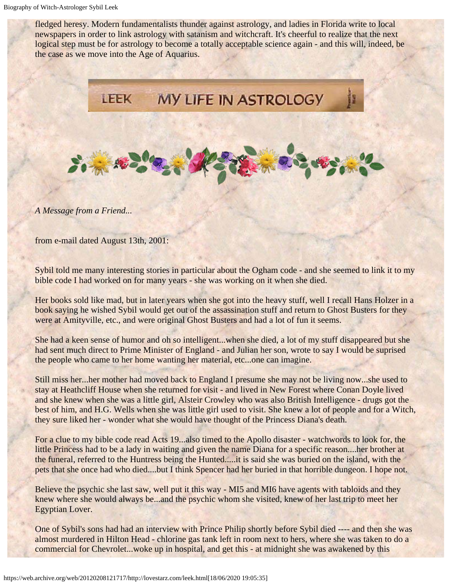fledged heresy. Modern fundamentalists thunder against astrology, and ladies in Florida write to local newspapers in order to link astrology with satanism and witchcraft. It's cheerful to realize that the next logical step must be for astrology to become a totally acceptable science again - and this will, indeed, be the case as we move into the Age of Aquarius.



from e-mail dated August 13th, 2001:

Sybil told me many interesting stories in particular about the Ogham code - and she seemed to link it to my bible code I had worked on for many years - she was working on it when she died.

Her books sold like mad, but in later years when she got into the heavy stuff, well I recall Hans Holzer in a book saying he wished Sybil would get out of the assassination stuff and return to Ghost Busters for they were at Amityville, etc., and were original Ghost Busters and had a lot of fun it seems.

She had a keen sense of humor and oh so intelligent...when she died, a lot of my stuff disappeared but she had sent much direct to Prime Minister of England - and Julian her son, wrote to say I would be suprised the people who came to her home wanting her material, etc...one can imagine.

Still miss her...her mother had moved back to England I presume she may not be living now...she used to stay at Heathcliff House when she returned for visit - and lived in New Forest where Conan Doyle lived and she knew when she was a little girl, Alsteir Crowley who was also British Intelligence - drugs got the best of him, and H.G. Wells when she was little girl used to visit. She knew a lot of people and for a Witch, they sure liked her - wonder what she would have thought of the Princess Diana's death.

For a clue to my bible code read Acts 19...also timed to the Apollo disaster - watchwords to look for, the little Princess had to be a lady in waiting and given the name Diana for a specific reason....her brother at the funeral, referred to the Huntress being the Hunted.....it is said she was buried on the island, with the pets that she once had who died....but I think Spencer had her buried in that horrible dungeon. I hope not.

Believe the psychic she last saw, well put it this way - MI5 and MI6 have agents with tabloids and they knew where she would always be...and the psychic whom she visited, knew of her last trip to meet her Egyptian Lover.

One of Sybil's sons had had an interview with Prince Philip shortly before Sybil died ---- and then she was almost murdered in Hilton Head - chlorine gas tank left in room next to hers, where she was taken to do a commercial for Chevrolet...woke up in hospital, and get this - at midnight she was awakened by this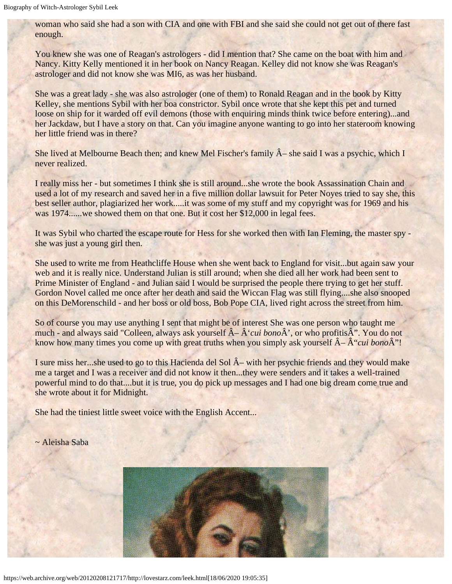woman who said she had a son with CIA and one with FBI and she said she could not get out of there fast enough.

You knew she was one of Reagan's astrologers - did I mention that? She came on the boat with him and Nancy. Kitty Kelly mentioned it in her book on Nancy Reagan. Kelley did not know she was Reagan's astrologer and did not know she was MI6, as was her husband.

She was a great lady - she was also astrologer (one of them) to Ronald Reagan and in the book by Kitty Kelley, she mentions Sybil with her boa constrictor. Sybil once wrote that she kept this pet and turned loose on ship for it warded off evil demons (those with enquiring minds think twice before entering)...and her Jackdaw, but I have a story on that. Can you imagine anyone wanting to go into her stateroom knowing her little friend was in there?

She lived at Melbourne Beach then; and knew Mel Fischer's family  $A$ – she said I was a psychic, which I never realized.

I really miss her - but sometimes I think she is still around...she wrote the book Assassination Chain and used a lot of my research and saved her in a five million dollar lawsuit for Peter Noyes tried to say she, this best seller author, plagiarized her work.....it was some of my stuff and my copyright was for 1969 and his was 1974......we showed them on that one. But it cost her \$12,000 in legal fees.

It was Sybil who charted the escape route for Hess for she worked then with Ian Fleming, the master spy she was just a young girl then.

She used to write me from Heathcliffe House when she went back to England for visit...but again saw your web and it is really nice. Understand Julian is still around; when she died all her work had been sent to Prime Minister of England - and Julian said I would be surprised the people there trying to get her stuff. Gordon Novel called me once after her death and said the Wiccan Flag was still flying....she also snooped on this DeMorenschild - and her boss or old boss, Bob Pope CIA, lived right across the street from him.

So of course you may use anything I sent that might be of interest She was one person who taught me much - and always said "Colleen, always ask yourself  $\hat{A}$ –  $\hat{A}'$ *cui bono* $\hat{A}'$ , or who profitis $\hat{A}''$ . You do not know how many times you come up with great truths when you simply ask yourself  $\hat{A}-\hat{A}$ "*cui bono* $\hat{A}$ "!

I sure miss her...she used to go to this Hacienda del Sol  $A$ – with her psychic friends and they would make me a target and I was a receiver and did not know it then...they were senders and it takes a well-trained powerful mind to do that....but it is true, you do pick up messages and I had one big dream come true and she wrote about it for Midnight.

She had the tiniest little sweet voice with the English Accent...

~ Aleisha Saba



https://web.archive.org/web/20120208121717/http://lovestarz.com/leek.html[18/06/2020 19:05:35]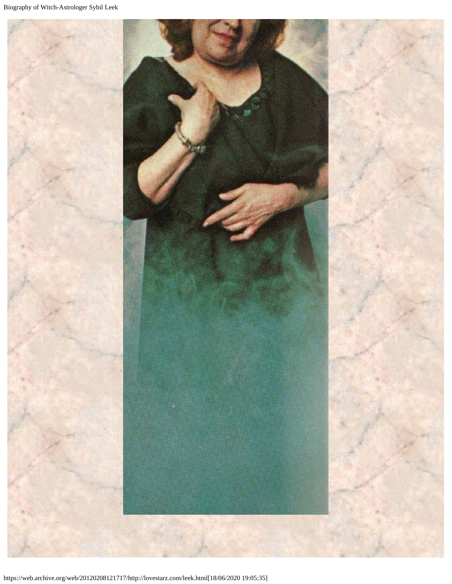